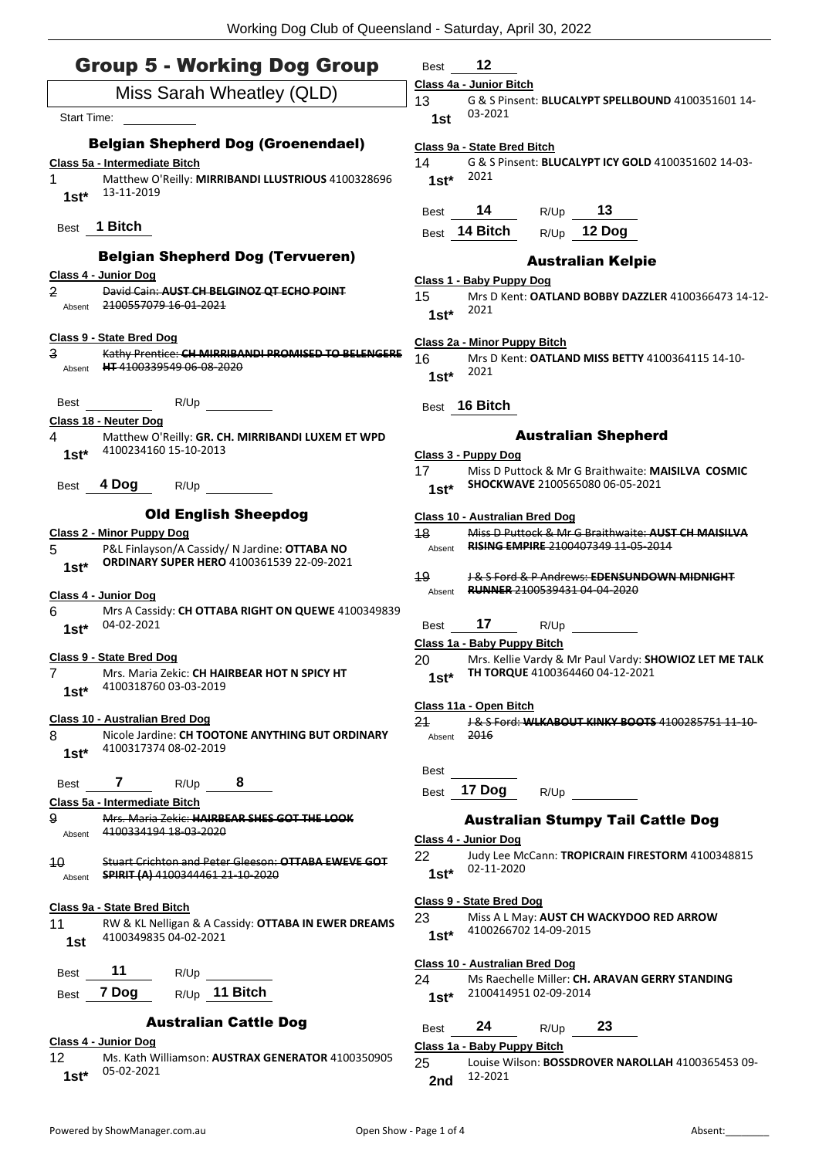# Group 5 - Working Dog Group

| Miss Sarah Wheatley (QLD)                                                  |                                         |                              |  |   |                                                                                                   |
|----------------------------------------------------------------------------|-----------------------------------------|------------------------------|--|---|---------------------------------------------------------------------------------------------------|
|                                                                            | Start Time:                             |                              |  |   |                                                                                                   |
| <b>Belgian Shepherd Dog (Groenendael)</b><br>Class 5a - Intermediate Bitch |                                         |                              |  |   |                                                                                                   |
| 1<br>$1st^*$                                                               | 13-11-2019                              |                              |  |   | Matthew O'Reilly: MIRRIBANDI LLUSTRIOUS 4100328696                                                |
|                                                                            | Best 1 Bitch                            |                              |  |   |                                                                                                   |
|                                                                            |                                         |                              |  |   | <b>Belgian Shepherd Dog (Tervueren)</b>                                                           |
|                                                                            | Class 4 - Junior Dog                    |                              |  |   |                                                                                                   |
| 2<br>Absent                                                                | 2100557079 16-01-2021                   |                              |  |   | David Cain: AUST CH BELGINOZ QT ECHO POINT                                                        |
|                                                                            | Class 9 - State Bred Dog                |                              |  |   |                                                                                                   |
| 3                                                                          | Absent HT 4100339549 06-08-2020         |                              |  |   | Kathy Prentice: CH MIRRIBANDI PROMISED TO BELENGERE                                               |
|                                                                            |                                         |                              |  |   |                                                                                                   |
| Best                                                                       |                                         | R/Up                         |  |   |                                                                                                   |
| 4                                                                          | Class 18 - Neuter Dog                   |                              |  |   | Matthew O'Reilly: GR. CH. MIRRIBANDI LUXEM ET WPD                                                 |
|                                                                            | 1st* 4100234160 15-10-2013              |                              |  |   |                                                                                                   |
| Best                                                                       | 4 Dog                                   | R/Up                         |  |   |                                                                                                   |
|                                                                            |                                         | <b>Old English Sheepdog</b>  |  |   |                                                                                                   |
|                                                                            | <b>Class 2 - Minor Puppy Dog</b>        |                              |  |   |                                                                                                   |
| 5<br>$1st^*$                                                               |                                         |                              |  |   | P&L Finlayson/A Cassidy/ N Jardine: OTTABA NO<br><b>ORDINARY SUPER HERO 4100361539 22-09-2021</b> |
|                                                                            |                                         |                              |  |   |                                                                                                   |
| 6                                                                          | Class 4 - Junior Dog                    |                              |  |   | Mrs A Cassidy: CH OTTABA RIGHT ON QUEWE 4100349839                                                |
|                                                                            | 1st* $04-02-2021$                       |                              |  |   |                                                                                                   |
|                                                                            | Class 9 - State Bred Dog                |                              |  |   |                                                                                                   |
| 7                                                                          | 4100318760 03-03-2019                   |                              |  |   | Mrs. Maria Zekic: CH HAIRBEAR HOT N SPICY HT                                                      |
| $1st^*$                                                                    |                                         |                              |  |   |                                                                                                   |
|                                                                            | Class 10 - Australian Bred Dog          |                              |  |   |                                                                                                   |
| 8<br>$1st*$                                                                | 4100317374 08-02-2019                   |                              |  |   | Nicole Jardine: CH TOOTONE ANYTHING BUT ORDINARY                                                  |
|                                                                            |                                         |                              |  |   |                                                                                                   |
| <b>Best</b>                                                                | 7                                       | R/Up                         |  | 8 |                                                                                                   |
| 9                                                                          | Class 5a - Intermediate Bitch           |                              |  |   | Mrs. Maria Zekic: HAIRBEAR SHES GOT THE LOOK                                                      |
| Ahsent                                                                     | 4100334194 18-03-2020                   |                              |  |   |                                                                                                   |
| 10                                                                         |                                         |                              |  |   | <b>Stuart Crichton and Peter Gleeson: OTTABA EWEVE GOT</b>                                        |
| Absent                                                                     | <b>SPIRIT (A) 4100344461 21-10-2020</b> |                              |  |   |                                                                                                   |
|                                                                            | <u> Class 9a - State Bred Bitch</u>     |                              |  |   |                                                                                                   |
| 11<br>1st                                                                  | 4100349835 04-02-2021                   |                              |  |   | RW & KL Nelligan & A Cassidy: OTTABA IN EWER DREAMS                                               |
|                                                                            |                                         |                              |  |   |                                                                                                   |
| Best                                                                       | 11                                      | R/Up                         |  |   |                                                                                                   |
| Best                                                                       | 7 Dog                                   | R/Up 11 Bitch                |  |   |                                                                                                   |
|                                                                            |                                         | <b>Australian Cattle Dog</b> |  |   |                                                                                                   |
| 12                                                                         | Class 4 - Junior Dog                    |                              |  |   | Ms. Kath Williamson: AUSTRAX GENERATOR 4100350905                                                 |
| $1st*$                                                                     | 05-02-2021                              |                              |  |   |                                                                                                   |

Best **12**

# **Class 4a - Junior Bitch**

13 G & S Pinsent: **BLUCALYPT SPELLBOUND** 4100351601 14- 03-2021 **1st**

# **Class 9a - State Bred Bitch**

14 G & S Pinsent: **BLUCALYPT ICY GOLD** 4100351602 14-03- <sup>2021</sup> **1st\***

| Best | 14            | R/Up | 13     |
|------|---------------|------|--------|
|      | Best 14 Bitch | R/Up | 12 Dog |

# Australian Kelpie

#### **Class 1 - Baby Puppy Dog**

15 Mrs D Kent: **OATLAND BOBBY DAZZLER** 4100366473 14-12-<sup>2021</sup> **1st\***

#### **Class 2a - Minor Puppy Bitch**

Best **16 Bitch**

#### Australian Shepherd

- **Class 3 - Puppy Dog**
- 17 Miss D Puttock & Mr G Braithwaite: **MAISILVA COSMIC SHOCKWAVE** 2100565080 06-05-2021 **1st\***

#### **Class 10 - Australian Bred Dog**

| 18     | Miss D Puttock & Mr G Braithwaite: AUST CH MAISILVA |
|--------|-----------------------------------------------------|
| Absent | <b>RISING EMPIRE 2100407349 11-05-2014</b>          |

19 J & S Ford & P Andrews: **EDENSUNDOWN MIDNIGHT**  Absent **RUNNER** 2100539431 04-04-2020

# Best **17** R/Up

**Class 1a - Baby Puppy Bitch**

20 Mrs. Kellie Vardy & Mr Paul Vardy: **SHOWIOZ LET ME TALK TH TORQUE** 4100364460 04-12-2021 **1st\***

# **Class 11a - Open Bitch**

- Best
- Best **17 Dog** R/Up

# Australian Stumpy Tail Cattle Dog

#### **Class 4 - Junior Dog**

22 Judy Lee McCann: **TROPICRAIN FIRESTORM** 4100348815 02-11-2020 **1st\***

#### **Class 9 - State Bred Dog**

23 Miss A L May: **AUST CH WACKYDOO RED ARROW** 4100266702 14-09-2015 **1st\***

# **Class 10 - Australian Bred Dog**

24 Ms Raechelle Miller: **CH. ARAVAN GERRY STANDING** 2100414951 02-09-2014 **1st\***

# Best **24** R/Up **23**

# **Class 1a - Baby Puppy Bitch**

25 Louise Wilson: **BOSSDROVER NAROLLAH** 4100365453 09- 12-2021 **2nd**

<sup>16</sup> Mrs D Kent: **OATLAND MISS BETTY** 4100364115 14-10- 2021 **1st\***

<sup>21</sup> J & S Ford: **WLKABOUT KINKY BOOTS** 4100285751 11-10- Absent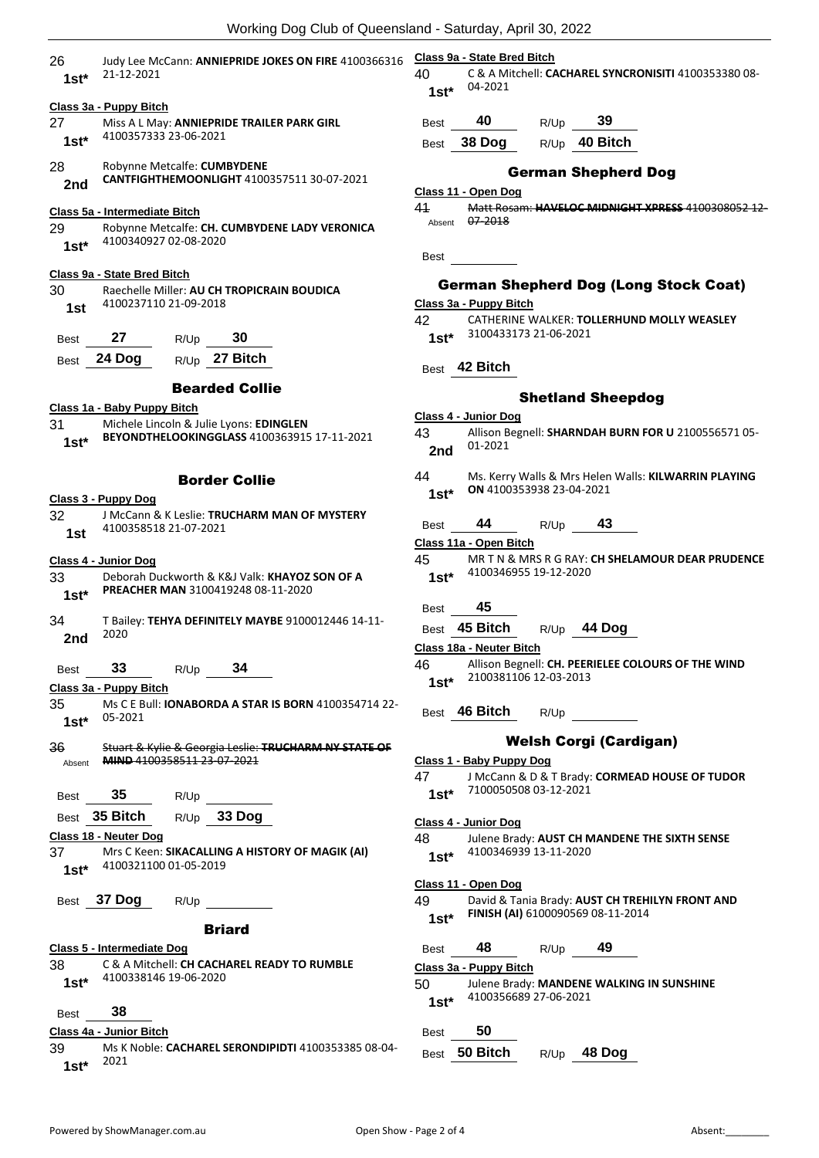| 26<br>$1st^*$ | Judy Lee McCann: ANNIEPRIDE JOKES ON FIRE 4100366316<br>21-12-2021        | Class 9a - Stat<br>40<br>$1st*$ | C & 1<br>$04 - 2$ |
|---------------|---------------------------------------------------------------------------|---------------------------------|-------------------|
|               | Class 3a - Puppy Bitch                                                    |                                 |                   |
| 27            | Miss A L May: ANNIEPRIDE TRAILER PARK GIRL                                | <b>Best</b>                     | 40                |
| 1st*          | 4100357333 23-06-2021                                                     | <b>Best</b>                     | 38 D              |
| 28<br>2nd     | Robynne Metcalfe: CUMBYDENE<br>CANTFIGHTHEMOONLIGHT 4100357511 30-07-2021 | Class 11 - Ope                  |                   |
|               | Class 5a - Intermediate Bitch                                             | 41                              | Mati              |
| 29<br>$1st^*$ | Robynne Metcalfe: CH. CUMBYDENE LADY VERONICA<br>4100340927 02-08-2020    | Absent<br>Best                  | $07 - 2$          |
|               | Class 9a - State Bred Bitch                                               |                                 |                   |
| 30            | Raechelle Miller: AU CH TROPICRAIN BOUDICA                                |                                 | Germai            |
| 1st           | 4100237110 21-09-2018                                                     | Class 3a - Pup                  |                   |
|               |                                                                           | 42                              | CATI              |
| Best          | 27<br>30<br>R/Up                                                          | $1st*$                          | 3100              |
| Best          | R/Up 27 Bitch<br>24 Dog                                                   |                                 |                   |
|               |                                                                           | Best                            | 42 Bi             |
|               | <b>Bearded Collie</b>                                                     |                                 |                   |
|               | Class 1a - Baby Puppy Bitch                                               |                                 |                   |
| 31            | Michele Lincoln & Julie Lyons: EDINGLEN                                   | Class 4 - Junic                 |                   |
| 1st*          | BEYONDTHELOOKINGGLASS 4100363915 17-11-2021                               | 43                              | Alliso            |
|               |                                                                           | 2nd                             | $01 - 2$          |
|               |                                                                           | 44                              | Ms.               |
|               | <b>Border Collie</b>                                                      |                                 | ON 4              |
|               | Class 3 - Puppy Dog                                                       | $1st*$                          |                   |
| 32            | J McCann & K Leslie: TRUCHARM MAN OF MYSTERY                              | <b>Best</b>                     | 44                |
| 1st           | 4100358518 21-07-2021                                                     | Class 11a - Op                  |                   |
|               |                                                                           | 45                              | MR <sub>1</sub>   |
| 33            | Class 4 - Junior Dog<br>Deborah Duckworth & K&J Valk: KHAYOZ SON OF A     | $1st*$                          | 4100              |
| $1st^*$       | PREACHER MAN 3100419248 08-11-2020                                        |                                 |                   |
|               |                                                                           | <b>Best</b>                     | 45                |
| 34            | T Bailey: TEHYA DEFINITELY MAYBE 9100012446 14-11-                        | Best 45 Bi                      |                   |
| 2nd           | 2020                                                                      |                                 |                   |
|               |                                                                           | Class 18a - Ne                  |                   |
| Best          | $R/Up$ 34<br>33                                                           | 46                              | Alliso<br>2100    |
|               | Class 3a - Puppy Bitch                                                    | 1st*                            |                   |
| 35<br>$1st^*$ | Ms C E Bull: IONABORDA A STAR IS BORN 4100354714 22-<br>05-2021           | Best 46 Bi                      |                   |
| 36            | Stuart & Kylie & Georgia Leslie: TRUCHARM NY STATE OF                     |                                 |                   |
| Absent        | MIND 4100358511 23-07-2021                                                | Class 1 - Baby                  |                   |
|               |                                                                           | 47                              | J Mc              |
| Best          | 35<br>R/Up                                                                | $1st^*$                         | 7100              |
|               | R/Up 33 Dog<br>Best 35 Bitch                                              |                                 |                   |
|               | Class 18 - Neuter Dog                                                     | Class 4 - Junic                 |                   |
|               | 37 Mrs C Keen: SIKACALLING A HISTORY OF MAGIK (AI)                        | 48                              | Juler<br>4100     |
|               | 1st* 4100321100 01-05-2019                                                | $1st^*$<br>Class 11 - Ope       |                   |
|               | Best 37 Dog<br>R/Up                                                       | 49                              | Davi              |
|               |                                                                           | 1st*                            | FINI!             |
|               | <b>Briard</b>                                                             |                                 |                   |
|               | Class 5 - Intermediate Dog                                                | Best 48                         |                   |
|               | 38 C & A Mitchell: CH CACHAREL READY TO RUMBLE                            | Class 3a - Pup                  |                   |
|               | 1st* 4100338146 19-06-2020                                                | 50 —                            | Juler             |
|               |                                                                           | $1st^*$                         | 4100              |
| Best          | -38                                                                       |                                 |                   |
|               | Class 4a - Junior Bitch                                                   | Best                            | 50                |
|               |                                                                           |                                 |                   |

39 Ms K Noble: **CACHAREL SERONDIPIDTI** 4100353385 08-04- <sup>2021</sup> **1st\***

**Class 9a - State Bred Bitch**

40 C & A Mitchell: **CACHAREL SYNCRONISITI** 4100353380 08- 04-2021 **1st\***

| <b>Best</b> | 40 | R/Up | 39 |
|-------------|----|------|----|

Best **38 Dog** R/Up **40 Bitch**

# German Shepherd Dog

#### **Class 11 - Open Dog**

41 Matt Rosam: **HAVELOC MIDNIGHT XPRESS** 4100308052 12- 2018

# n Shepherd Dog (Long Stock Coat)

#### **Class 3a - Puppy Bitch**

**HERINE WALKER: TOLLERHUND MOLLY WEASLEY** 0433173 21-06-2021

# itch

#### Shetland Sheepdog

#### or Dog

| 43     | Allison Begnell: SHARNDAH BURN FOR U 2100556571 05-  |
|--------|------------------------------------------------------|
| 2nd    | 01-2021                                              |
| 44     | Ms. Kerry Walls & Mrs Helen Walls: KILWARRIN PLAYING |
| $1c+1$ | ON 4100353938 23-04-2021                             |

Best **44** R/Up **43**

**Class 11a - Open Bitch**

- 45 MR T N & MRS R G RAY: **CH SHELAMOUR DEAR PRUDENCE** 0346955 19-12-2020
	-

| Best 45 Bitch |  |  | R/Up | 44 Dog |
|---------------|--|--|------|--------|
|---------------|--|--|------|--------|

**Class 18a - Neuter Bitch**

on Begnell: **CH. PEERIELEE COLOURS OF THE WIND** 0381106 12-03-2013

**itch** R/Up

# Welsh Corgi (Cardigan)

- **Class 1 - Baby Puppy Dog** 47 J McCann & D & T Brady: **CORMEAD HOUSE OF TUDOR** 0050508 03-12-2021 or Dog Ine Brady: **AUST CH MANDENE THE SIXTH SENSE** 0346939 13-11-2020 **Class 11 - Open Dog** id & Tania Brady: **AUST CH TREHILYN FRONT AND ISH (AI)** 6100090569 08-11-2014 Best **48** R/Up **49 Class 3a - Puppy Bitch** Ine Brady: MANDENE WALKING IN SUNSHINE 0356689 27-06-2021 Best **50**
- Best **50 Bitch** R/Up **48 Dog**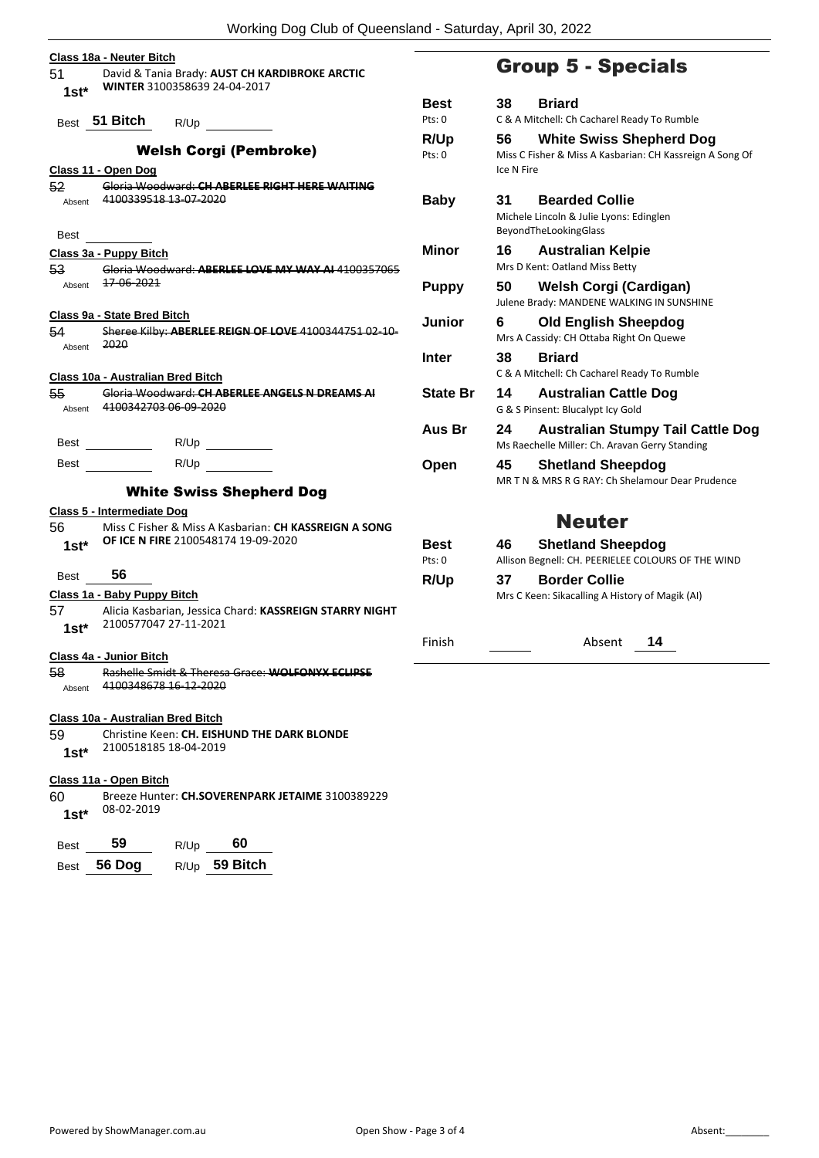| Class 18a - Neuter Bitch              |                                                                                                           |                       |                                          |
|---------------------------------------|-----------------------------------------------------------------------------------------------------------|-----------------------|------------------------------------------|
| 51 —<br>$1st*$                        | David & Tania Brady: AUST CH KARDIBROKE ARCTIC<br>WINTER 3100358639 24-04-2017                            |                       | <b>Group</b>                             |
|                                       | Best 51 Bitch R/Up<br><u>and a strong strong</u>                                                          | <b>Best</b><br>Pts: 0 | 38<br>Bri<br>C & A Mitchel               |
| Class 11 - Open Dog                   | <b>Welsh Corgi (Pembroke)</b>                                                                             | R/Up<br>Pts: 0        | Wh<br>56<br>Miss C Fisher<br>Ice N Fire  |
| 52<br>Absent                          | Gloria Woodward: CH ABERLEE RIGHT HERE WAITING<br>4100339518 13 07 2020                                   | <b>Baby</b>           | 31<br>Bea<br>Michele Linco               |
| <b>Best</b><br>Class 3a - Puppy Bitch |                                                                                                           | <b>Minor</b>          | BeyondTheLo<br>16<br>Au<br>Mrs D Kent: O |
| 53<br>Absent                          | Gloria Woodward: ABERLEE LOVE MY WAY AL4100357065<br><del>17-06-2021</del>                                | <b>Puppy</b>          | We<br>50<br>Julene Brady:                |
| 54                                    | Class 9a - State Bred Bitch<br>Sheree Kilby: ABERLEE REIGN OF LOVE 4100344751 02-10-<br>2020              | <b>Junior</b>         | 6<br>Olc<br>Mrs A Cassidy                |
| Absent                                | Class 10a - Australian Bred Bitch                                                                         | Inter                 | 38<br>Bri<br>C & A Mitchel               |
| 55<br>Absent                          | Gloria Woodward: CH ABERLEE ANGELS N DREAMS AL<br>4100342703 06 09 2020                                   | <b>State Br</b>       | 14<br>Au:<br>G & S Pinsent:              |
| Best                                  | R/Up                                                                                                      | Aus Br                | 24<br>Au:<br>Ms Raechelle                |
| Best                                  | R/Up<br><b>White Swiss Shepherd Dog</b>                                                                   | Open                  | 45<br><b>Sh</b><br>MRTN&MR               |
|                                       | Class 5 - Intermediate Dog                                                                                |                       |                                          |
| 56<br>$1st*$                          | Miss C Fisher & Miss A Kasbarian: CH KASSREIGN A SONG<br>OF ICE N FIRE 2100548174 19-09-2020              | <b>Best</b><br>Pts: 0 | 46<br><b>Sh</b><br>Allison Begnel        |
| 56<br>Best                            | Class 1a - Baby Puppy Bitch                                                                               | R/Up                  | 37<br>Bo<br>Mrs C Keen: S                |
| $1st*$                                | 57 Alicia Kasbarian, Jessica Chard: KASSREIGN STARRY NIGHT<br>2100577047 27-11-2021                       |                       |                                          |
| Class 4a - Junior Bitch               |                                                                                                           | Finish                |                                          |
| 58<br>Absent                          | Rashelle Smidt & Theresa Grace: WOLFONYX ECLIPSE<br>4100348678 16-12-2020                                 |                       |                                          |
| 59<br>$1st*$                          | Class 10a - Australian Bred Bitch<br>Christine Keen: CH. EISHUND THE DARK BLONDE<br>2100518185 18-04-2019 |                       |                                          |

# **Class 11a - Open Bitch**

60 Breeze Hunter: **CH.SOVERENPARK JETAIME** 3100389229 08-02-2019 **1st\***

| <b>Best</b> | 59     | R/Up | 60              |
|-------------|--------|------|-----------------|
| Best        | 56 Dog |      | $R/Up$ 59 Bitch |

# 5 - Specials

| <b>Best</b>     | <b>Briard</b><br>38                                                                                             |
|-----------------|-----------------------------------------------------------------------------------------------------------------|
| Pts: 0          | C & A Mitchell: Ch Cacharel Ready To Rumble                                                                     |
| R/Up<br>Pts: 0  | <b>White Swiss Shepherd Dog</b><br>56<br>Miss C Fisher & Miss A Kasbarian: CH Kassreign A Song Of<br>Ice N Fire |
| <b>Baby</b>     | <b>Bearded Collie</b><br>31<br>Michele Lincoln & Julie Lyons: Edinglen<br>BeyondTheLookingGlass                 |
| Minor           | 16<br><b>Australian Kelpie</b><br>Mrs D Kent: Oatland Miss Betty                                                |
| <b>Puppy</b>    | 50<br>Welsh Corgi (Cardigan)<br>Julene Brady: MANDENE WALKING IN SUNSHINE                                       |
| Junior          | <b>Old English Sheepdog</b><br>6<br>Mrs A Cassidy: CH Ottaba Right On Quewe                                     |
| Inter           | <b>Briard</b><br>38<br>C & A Mitchell: Ch Cacharel Ready To Rumble                                              |
| <b>State Br</b> | 14<br><b>Australian Cattle Dog</b><br>G & S Pinsent: Blucalypt Icy Gold                                         |
| Aus Br          | 24<br><b>Australian Stumpy Tail Cattle Dog</b><br>Ms Raechelle Miller: Ch. Aravan Gerry Standing                |
| Open            | 45<br><b>Shetland Sheepdog</b><br>MR T N & MRS R G RAY: Ch Shelamour Dear Prudence                              |
|                 | <b>Neuter</b>                                                                                                   |
| Best<br>Pts: 0  | <b>Shetland Sheepdog</b><br>46<br>Allison Begnell: CH. PEERIELEE COLOURS OF THE WIND                            |
| R/Up            | <b>Border Collie</b><br>37<br>Mrs C Keen: Sikacalling A History of Magik (AI)                                   |

Absent **14**